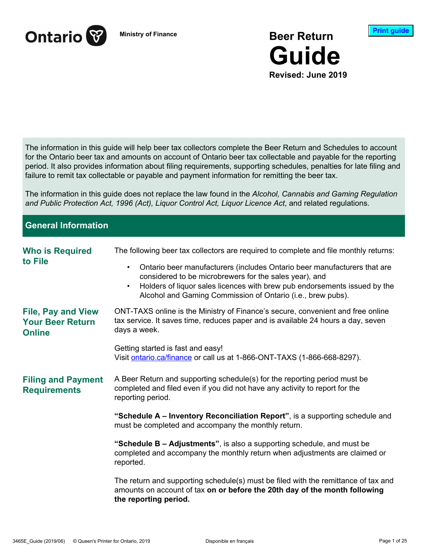

**Ministry of Finance Beer Return Guide Revised: June 2019**



The information in this guide will help beer tax collectors complete the Beer Return and Schedules to account for the Ontario beer tax and amounts on account of Ontario beer tax collectable and payable for the reporting period. It also provides information about filing requirements, supporting schedules, penalties for late filing and failure to remit tax collectable or payable and payment information for remitting the beer tax.

The information in this guide does not replace the law found in the *Alcohol, Cannabis and Gaming Regulation and Public Protection Act, 1996 (Act), Liquor Control Act, Liquor Licence Act*, and related regulations.

**General Information Who is Required to File** The following beer tax collectors are required to complete and file monthly returns: • Ontario beer manufacturers (includes Ontario beer manufacturers that are considered to be microbrewers for the sales year), and • Holders of liquor sales licences with brew pub endorsements issued by the Alcohol and Gaming Commission of Ontario (i.e., brew pubs). **File, Pay and View Your Beer Return Online** ONT-TAXS online is the Ministry of Finance's secure, convenient and free online tax service. It saves time, reduces paper and is available 24 hours a day, seven days a week. Getting started is fast and easy! Visit ontario.ca/finance or call us at 1-866-ONT-TAXS (1-866-668-8297). **Filing and Payment Requirements** A Beer Return and supporting schedule(s) for the reporting period must be completed and filed even if you did not have any activity to report for the reporting period. **"Schedule A – Inventory Reconciliation Report"**, is a supporting schedule and must be completed and accompany the monthly return. **"Schedule B – Adjustments"**, is also a supporting schedule, and must be completed and accompany the monthly return when adjustments are claimed or reported. The return and supporting schedule(s) must be filed with the remittance of tax and amounts on account of tax **on or before the 20th day of the month following the reporting period.**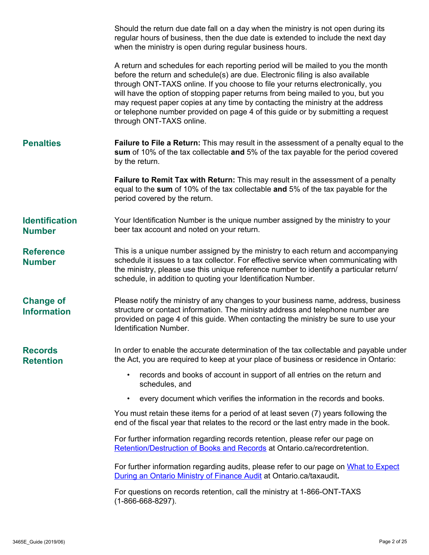|                                        | Should the return due date fall on a day when the ministry is not open during its<br>regular hours of business, then the due date is extended to include the next day<br>when the ministry is open during regular business hours.                                                                                                                                                                                                                                                                                                          |
|----------------------------------------|--------------------------------------------------------------------------------------------------------------------------------------------------------------------------------------------------------------------------------------------------------------------------------------------------------------------------------------------------------------------------------------------------------------------------------------------------------------------------------------------------------------------------------------------|
|                                        | A return and schedules for each reporting period will be mailed to you the month<br>before the return and schedule(s) are due. Electronic filing is also available<br>through ONT-TAXS online. If you choose to file your returns electronically, you<br>will have the option of stopping paper returns from being mailed to you, but you<br>may request paper copies at any time by contacting the ministry at the address<br>or telephone number provided on page 4 of this guide or by submitting a request<br>through ONT-TAXS online. |
| <b>Penalties</b>                       | Failure to File a Return: This may result in the assessment of a penalty equal to the<br>sum of 10% of the tax collectable and 5% of the tax payable for the period covered<br>by the return.                                                                                                                                                                                                                                                                                                                                              |
|                                        | Failure to Remit Tax with Return: This may result in the assessment of a penalty<br>equal to the sum of 10% of the tax collectable and 5% of the tax payable for the<br>period covered by the return.                                                                                                                                                                                                                                                                                                                                      |
| <b>Identification</b><br><b>Number</b> | Your Identification Number is the unique number assigned by the ministry to your<br>beer tax account and noted on your return.                                                                                                                                                                                                                                                                                                                                                                                                             |
| <b>Reference</b><br><b>Number</b>      | This is a unique number assigned by the ministry to each return and accompanying<br>schedule it issues to a tax collector. For effective service when communicating with<br>the ministry, please use this unique reference number to identify a particular return/<br>schedule, in addition to quoting your Identification Number.                                                                                                                                                                                                         |
| <b>Change of</b><br><b>Information</b> | Please notify the ministry of any changes to your business name, address, business<br>structure or contact information. The ministry address and telephone number are<br>provided on page 4 of this guide. When contacting the ministry be sure to use your<br><b>Identification Number.</b>                                                                                                                                                                                                                                               |
| <b>Records</b><br><b>Retention</b>     | In order to enable the accurate determination of the tax collectable and payable under<br>the Act, you are required to keep at your place of business or residence in Ontario:                                                                                                                                                                                                                                                                                                                                                             |
|                                        | records and books of account in support of all entries on the return and<br>schedules, and                                                                                                                                                                                                                                                                                                                                                                                                                                                 |
|                                        | every document which verifies the information in the records and books.<br>$\bullet$                                                                                                                                                                                                                                                                                                                                                                                                                                                       |
|                                        | You must retain these items for a period of at least seven (7) years following the<br>end of the fiscal year that relates to the record or the last entry made in the book.                                                                                                                                                                                                                                                                                                                                                                |
|                                        | For further information regarding records retention, please refer our page on<br>Retention/Destruction of Books and Records at Ontario.ca/recordretention.                                                                                                                                                                                                                                                                                                                                                                                 |
|                                        | For further information regarding audits, please refer to our page on What to Expect<br>During an Ontario Ministry of Finance Audit at Ontario.ca/taxaudit.                                                                                                                                                                                                                                                                                                                                                                                |
|                                        | For questions on records retention, call the ministry at 1-866-ONT-TAXS<br>$(1 - 866 - 668 - 8297)$ .                                                                                                                                                                                                                                                                                                                                                                                                                                      |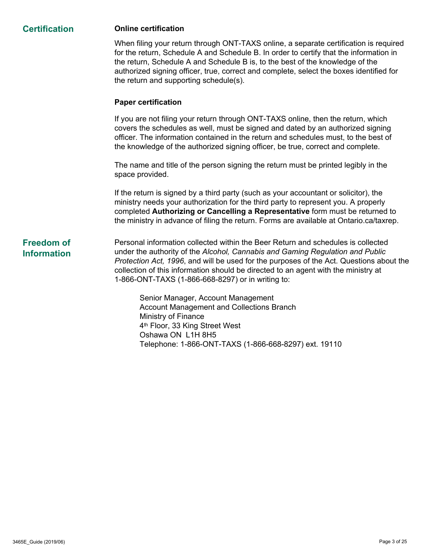#### **Certification Online certification**

When filing your return through ONT-TAXS online, a separate certification is required for the return, Schedule A and Schedule B. In order to certify that the information in the return, Schedule A and Schedule B is, to the best of the knowledge of the authorized signing officer, true, correct and complete, select the boxes identified for the return and supporting schedule(s).

#### **Paper certification**

If you are not filing your return through ONT-TAXS online, then the return, which covers the schedules as well, must be signed and dated by an authorized signing officer. The information contained in the return and schedules must, to the best of the knowledge of the authorized signing officer, be true, correct and complete.

The name and title of the person signing the return must be printed legibly in the space provided.

If the return is signed by a third party (such as your accountant or solicitor), the ministry needs your authorization for the third party to represent you. A properly completed **Authorizing or Cancelling a Representative** form must be returned to the ministry in advance of filing the return. Forms are available at Ontario.ca/taxrep.

# **Freedom of Information**

Personal information collected within the Beer Return and schedules is collected under the authority of the *Alcohol, Cannabis and Gaming Regulation and Public Protection Act, 1996*, and will be used for the purposes of the Act. Questions about the collection of this information should be directed to an agent with the ministry at 1-866-ONT-TAXS (1-866-668-8297) or in writing to:

Senior Manager, Account Management Account Management and Collections Branch Ministry of Finance 4<sup>th</sup> Floor, 33 King Street West Oshawa ON L1H 8H5 Telephone: 1-866-ONT-TAXS (1-866-668-8297) ext. 19110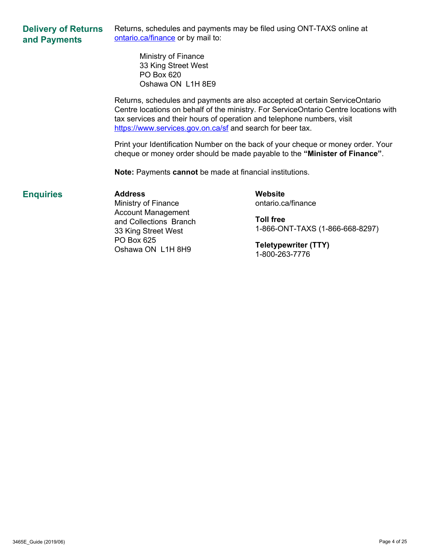#### **Delivery of Returns and Payments** Returns, schedules and payments may be filed using ONT-TAXS online at ontario.ca/finance or by mail to:

Ministry of Finance 33 King Street West PO Box 620 Oshawa ON L1H 8E9

Returns, schedules and payments are also accepted at certain ServiceOntario Centre locations on behalf of the ministry. For ServiceOntario Centre locations with tax services and their hours of operation and telephone numbers, visit <https://www.services.gov.on.ca/sf> and search for beer tax.

Print your Identification Number on the back of your cheque or money order. Your cheque or money order should be made payable to the **"Minister of Finance"**.

**Note:** Payments **cannot** be made at financial institutions.

#### **Enquiries Address**

Ministry of Finance Account Management and Collections Branch 33 King Street West PO Box 625 Oshawa ON L1H 8H9

**Website** ontario.ca/finance

**Toll free** 1-866-ONT-TAXS (1-866-668-8297)

**Teletypewriter (TTY)** 1-800-263-7776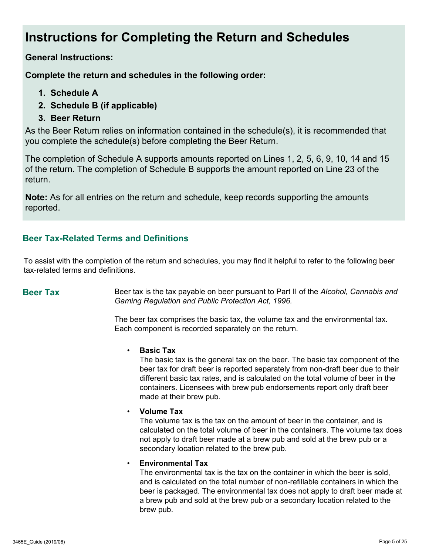# **Instructions for Completing the Return and Schedules**

**General Instructions:** 

**Complete the return and schedules in the following order:**

- **1. Schedule A**
- **2. Schedule B (if applicable)**
- **3. Beer Return**

As the Beer Return relies on information contained in the schedule(s), it is recommended that you complete the schedule(s) before completing the Beer Return.

The completion of Schedule A supports amounts reported on Lines 1, 2, 5, 6, 9, 10, 14 and 15 of the return. The completion of Schedule B supports the amount reported on Line 23 of the return.

**Note:** As for all entries on the return and schedule, keep records supporting the amounts reported.

## **Beer Tax-Related Terms and Definitions**

To assist with the completion of the return and schedules, you may find it helpful to refer to the following beer tax-related terms and definitions.

**Beer Tax** Beer tax is the tax payable on beer pursuant to Part II of the *Alcohol, Cannabis and Gaming Regulation and Public Protection Act, 1996.* 

> The beer tax comprises the basic tax, the volume tax and the environmental tax. Each component is recorded separately on the return.

#### • **Basic Tax**

The basic tax is the general tax on the beer. The basic tax component of the beer tax for draft beer is reported separately from non-draft beer due to their different basic tax rates, and is calculated on the total volume of beer in the containers. Licensees with brew pub endorsements report only draft beer made at their brew pub.

#### • **Volume Tax**

The volume tax is the tax on the amount of beer in the container, and is calculated on the total volume of beer in the containers. The volume tax does not apply to draft beer made at a brew pub and sold at the brew pub or a secondary location related to the brew pub.

#### • **Environmental Tax**

The environmental tax is the tax on the container in which the beer is sold, and is calculated on the total number of non-refillable containers in which the beer is packaged. The environmental tax does not apply to draft beer made at a brew pub and sold at the brew pub or a secondary location related to the brew pub.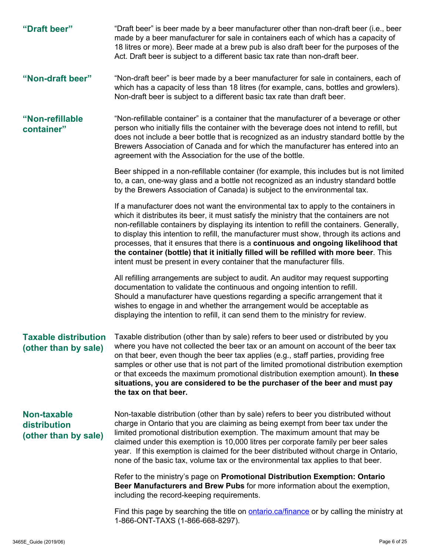**"Draft beer"** "Draft beer" is beer made by a beer manufacturer other than non-draft beer (i.e., beer made by a beer manufacturer for sale in containers each of which has a capacity of 18 litres or more). Beer made at a brew pub is also draft beer for the purposes of the Act. Draft beer is subject to a different basic tax rate than non-draft beer. **"Non-draft beer"** "Non-draft beer" is beer made by a beer manufacturer for sale in containers, each of which has a capacity of less than 18 litres (for example, cans, bottles and growlers). Non-draft beer is subject to a different basic tax rate than draft beer. **"Non-refillable container"** "Non-refillable container" is a container that the manufacturer of a beverage or other person who initially fills the container with the beverage does not intend to refill, but does not include a beer bottle that is recognized as an industry standard bottle by the Brewers Association of Canada and for which the manufacturer has entered into an agreement with the Association for the use of the bottle. Beer shipped in a non-refillable container (for example, this includes but is not limited to, a can, one-way glass and a bottle not recognized as an industry standard bottle by the Brewers Association of Canada) is subject to the environmental tax. If a manufacturer does not want the environmental tax to apply to the containers in which it distributes its beer, it must satisfy the ministry that the containers are not non-refillable containers by displaying its intention to refill the containers. Generally, to display this intention to refill, the manufacturer must show, through its actions and processes, that it ensures that there is a **continuous and ongoing likelihood that the container (bottle) that it initially filled will be refilled with more beer**. This intent must be present in every container that the manufacturer fills. All refilling arrangements are subject to audit. An auditor may request supporting documentation to validate the continuous and ongoing intention to refill. Should a manufacturer have questions regarding a specific arrangement that it wishes to engage in and whether the arrangement would be acceptable as displaying the intention to refill, it can send them to the ministry for review. **Taxable distribution (other than by sale)** Taxable distribution (other than by sale) refers to beer used or distributed by you where you have not collected the beer tax or an amount on account of the beer tax on that beer, even though the beer tax applies (e.g., staff parties, providing free samples or other use that is not part of the limited promotional distribution exemption or that exceeds the maximum promotional distribution exemption amount). **In these situations, you are considered to be the purchaser of the beer and must pay the tax on that beer. Non-taxable distribution (other than by sale)** Non-taxable distribution (other than by sale) refers to beer you distributed without charge in Ontario that you are claiming as being exempt from beer tax under the limited promotional distribution exemption. The maximum amount that may be claimed under this exemption is 10,000 litres per corporate family per beer sales year. If this exemption is claimed for the beer distributed without charge in Ontario, none of the basic tax, volume tax or the environmental tax applies to that beer. Refer to the ministry's page on **Promotional Distribution Exemption: Ontario Beer Manufacturers and Brew Pubs** for more information about the exemption, including the record-keeping requirements. Find this page by searching the title on **ontario.ca/finance** or by calling the ministry at 1-866-ONT-TAXS (1-866-668-8297).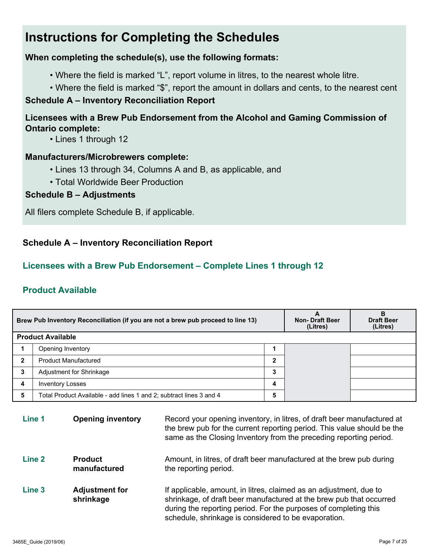# **Instructions for Completing the Schedules**

#### **When completing the schedule(s), use the following formats:**

- Where the field is marked "L", report volume in litres, to the nearest whole litre.
- Where the field is marked "\$", report the amount in dollars and cents, to the nearest cent

#### **Schedule A – Inventory Reconciliation Report**

# **Licensees with a Brew Pub Endorsement from the Alcohol and Gaming Commission of Ontario complete:**

• Lines 1 through 12

#### **Manufacturers/Microbrewers complete:**

- Lines 13 through 34, Columns A and B, as applicable, and
- Total Worldwide Beer Production

#### **Schedule B – Adjustments**

All filers complete Schedule B, if applicable.

## **Schedule A – Inventory Reconciliation Report**

#### **Licensees with a Brew Pub Endorsement – Complete Lines 1 through 12**

### **Product Available**

| Brew Pub Inventory Reconciliation (if you are not a brew pub proceed to line 13) |                                                                     | <b>Non-Draft Beer</b><br>(Litres) | В<br><b>Draft Beer</b><br>(Litres) |  |
|----------------------------------------------------------------------------------|---------------------------------------------------------------------|-----------------------------------|------------------------------------|--|
|                                                                                  | <b>Product Available</b>                                            |                                   |                                    |  |
|                                                                                  | Opening Inventory                                                   |                                   |                                    |  |
| $\mathbf{2}$                                                                     | <b>Product Manufactured</b>                                         | 2                                 |                                    |  |
| 3                                                                                | Adjustment for Shrinkage                                            | 3                                 |                                    |  |
| 4                                                                                | <b>Inventory Losses</b>                                             | 4                                 |                                    |  |
| 5                                                                                | Total Product Available - add lines 1 and 2; subtract lines 3 and 4 | 5                                 |                                    |  |

| Line 1            | <b>Opening inventory</b>           | Record your opening inventory, in litres, of draft beer manufactured at<br>the brew pub for the current reporting period. This value should be the<br>same as the Closing Inventory from the preceding reporting period.                                              |
|-------------------|------------------------------------|-----------------------------------------------------------------------------------------------------------------------------------------------------------------------------------------------------------------------------------------------------------------------|
| Line <sub>2</sub> | <b>Product</b><br>manufactured     | Amount, in litres, of draft beer manufactured at the brew pub during<br>the reporting period.                                                                                                                                                                         |
| Line <sub>3</sub> | <b>Adjustment for</b><br>shrinkage | If applicable, amount, in litres, claimed as an adjustment, due to<br>shrinkage, of draft beer manufactured at the brew pub that occurred<br>during the reporting period. For the purposes of completing this<br>schedule, shrinkage is considered to be evaporation. |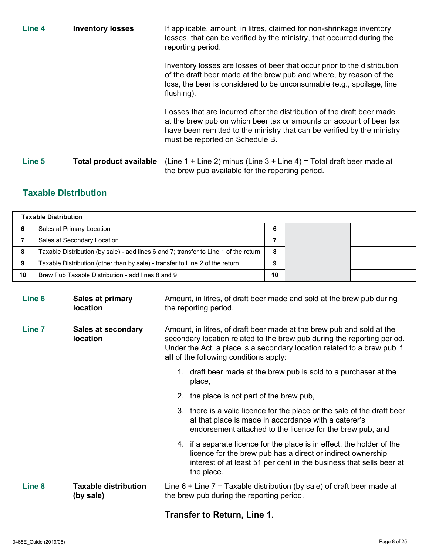| Line 4 | <b>Inventory losses</b> | If applicable, amount, in litres, claimed for non-shrinkage inventory<br>losses, that can be verified by the ministry, that occurred during the<br>reporting period.                                                                                        |
|--------|-------------------------|-------------------------------------------------------------------------------------------------------------------------------------------------------------------------------------------------------------------------------------------------------------|
|        |                         | Inventory losses are losses of beer that occur prior to the distribution<br>of the draft beer made at the brew pub and where, by reason of the<br>loss, the beer is considered to be unconsumable (e.g., spoilage, line<br>flushing).                       |
|        |                         | Losses that are incurred after the distribution of the draft beer made<br>at the brew pub on which beer tax or amounts on account of beer tax<br>have been remitted to the ministry that can be verified by the ministry<br>must be reported on Schedule B. |
| Line 5 | Total product available | (Line 1 + Line 2) minus (Line $3 +$ Line 4) = Total draft beer made at<br>the brew pub available for the reporting period.                                                                                                                                  |

# **Taxable Distribution**

|    | <b>Taxable Distribution</b>                                                          |    |  |
|----|--------------------------------------------------------------------------------------|----|--|
|    | Sales at Primary Location                                                            | 6  |  |
|    | Sales at Secondary Location                                                          |    |  |
| 8  | Taxable Distribution (by sale) - add lines 6 and 7; transfer to Line 1 of the return | 8  |  |
| 9  | Taxable Distribution (other than by sale) - transfer to Line 2 of the return         |    |  |
| 10 | Brew Pub Taxable Distribution - add lines 8 and 9                                    | 10 |  |

| Line <sub>6</sub> | <b>Sales at primary</b><br><b>location</b> | Amount, in litres, of draft beer made and sold at the brew pub during<br>the reporting period.                                                                                                                                                                               |  |
|-------------------|--------------------------------------------|------------------------------------------------------------------------------------------------------------------------------------------------------------------------------------------------------------------------------------------------------------------------------|--|
| Line <sub>7</sub> | Sales at secondary<br><b>location</b>      | Amount, in litres, of draft beer made at the brew pub and sold at the<br>secondary location related to the brew pub during the reporting period.<br>Under the Act, a place is a secondary location related to a brew pub if<br><b>all</b> of the following conditions apply: |  |
|                   |                                            | 1. draft beer made at the brew pub is sold to a purchaser at the<br>place,                                                                                                                                                                                                   |  |
|                   |                                            | 2. the place is not part of the brew pub,                                                                                                                                                                                                                                    |  |
|                   |                                            | 3. there is a valid licence for the place or the sale of the draft beer<br>at that place is made in accordance with a caterer's<br>endorsement attached to the licence for the brew pub, and                                                                                 |  |
|                   |                                            | 4. if a separate licence for the place is in effect, the holder of the<br>licence for the brew pub has a direct or indirect ownership<br>interest of at least 51 per cent in the business that sells beer at<br>the place.                                                   |  |
| Line <sub>8</sub> | <b>Taxable distribution</b><br>(by sale)   | Line $6 +$ Line $7 =$ Taxable distribution (by sale) of draft beer made at<br>the brew pub during the reporting period.                                                                                                                                                      |  |
|                   |                                            |                                                                                                                                                                                                                                                                              |  |

#### **Transfer to Return, Line 1.**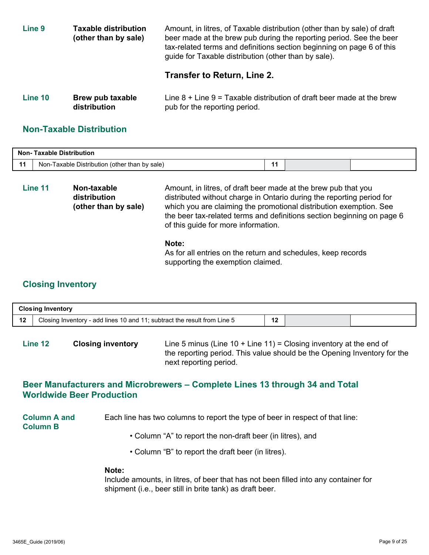| Line <sub>9</sub> | <b>Taxable distribution</b><br>(other than by sale) | Amount, in litres, of Taxable distribution (other than by sale) of draft<br>beer made at the brew pub during the reporting period. See the beer<br>tax-related terms and definitions section beginning on page 6 of this<br>guide for Taxable distribution (other than by sale). |
|-------------------|-----------------------------------------------------|----------------------------------------------------------------------------------------------------------------------------------------------------------------------------------------------------------------------------------------------------------------------------------|
|                   |                                                     | Transfer to Return, Line 2.                                                                                                                                                                                                                                                      |
|                   |                                                     |                                                                                                                                                                                                                                                                                  |

| Line 10 | Brew pub taxable | Line $8 +$ Line $9 =$ Taxable distribution of draft beer made at the brew |
|---------|------------------|---------------------------------------------------------------------------|
|         | distribution     | pub for the reporting period.                                             |

#### **Non-Taxable Distribution**

| <b>Non- Taxable Distribution</b> |                                                  |  |  |  |
|----------------------------------|--------------------------------------------------|--|--|--|
|                                  | Taxable Distribution (other than by sale)<br>Nor |  |  |  |

**Line 11 Non-taxable distribution (other than by sale)** Amount, in litres, of draft beer made at the brew pub that you distributed without charge in Ontario during the reporting period for which you are claiming the promotional distribution exemption. See the beer tax-related terms and definitions section beginning on page 6 of this guide for more information.

#### **Note:**

As for all entries on the return and schedules, keep records supporting the exemption claimed.

#### **Closing Inventory**

|                       | <b>Closing Inventory</b>                                                 |           |  |
|-----------------------|--------------------------------------------------------------------------|-----------|--|
| $\overline{A}$<br>. . | Closing Inventory - add lines 10 and 11; subtract the result from Line 5 | 40<br>. . |  |

**Line 12 Closing inventory** Line 5 minus (Line 10 + Line 11) = Closing inventory at the end of the reporting period. This value should be the Opening Inventory for the next reporting period.

#### **Beer Manufacturers and Microbrewers – Complete Lines 13 through 34 and Total Worldwide Beer Production**

**Column A and Column B** Each line has two columns to report the type of beer in respect of that line:

- Column "A" to report the non-draft beer (in litres), and
- Column "B" to report the draft beer (in litres).

#### **Note:**

Include amounts, in litres, of beer that has not been filled into any container for shipment (i.e., beer still in brite tank) as draft beer.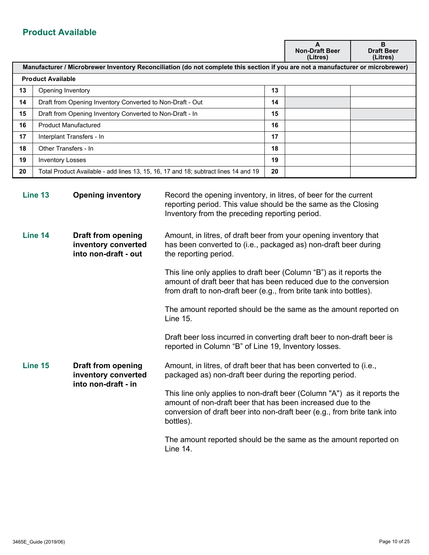# **Product Available**

|    |                                                                                                                                 |    | A<br><b>Non-Draft Beer</b><br>(Litres) | B<br><b>Draft Beer</b><br>(Litres) |
|----|---------------------------------------------------------------------------------------------------------------------------------|----|----------------------------------------|------------------------------------|
|    | Manufacturer / Microbrewer Inventory Reconciliation (do not complete this section if you are not a manufacturer or microbrewer) |    |                                        |                                    |
|    | <b>Product Available</b>                                                                                                        |    |                                        |                                    |
| 13 | Opening Inventory                                                                                                               | 13 |                                        |                                    |
| 14 | Draft from Opening Inventory Converted to Non-Draft - Out                                                                       | 14 |                                        |                                    |
| 15 | Draft from Opening Inventory Converted to Non-Draft - In                                                                        | 15 |                                        |                                    |
| 16 | <b>Product Manufactured</b>                                                                                                     | 16 |                                        |                                    |
| 17 | Interplant Transfers - In                                                                                                       | 17 |                                        |                                    |
| 18 | Other Transfers - In                                                                                                            | 18 |                                        |                                    |
| 19 | <b>Inventory Losses</b>                                                                                                         | 19 |                                        |                                    |
| 20 | Total Product Available - add lines 13, 15, 16, 17 and 18; subtract lines 14 and 19                                             | 20 |                                        |                                    |
|    |                                                                                                                                 |    |                                        |                                    |

| Line 13 | <b>Opening inventory</b>                                                 | Record the opening inventory, in litres, of beer for the current<br>reporting period. This value should be the same as the Closing<br>Inventory from the preceding reporting period.                                            |
|---------|--------------------------------------------------------------------------|---------------------------------------------------------------------------------------------------------------------------------------------------------------------------------------------------------------------------------|
| Line 14 | <b>Draft from opening</b><br>inventory converted<br>into non-draft - out | Amount, in litres, of draft beer from your opening inventory that<br>has been converted to (i.e., packaged as) non-draft beer during<br>the reporting period.                                                                   |
|         |                                                                          | This line only applies to draft beer (Column "B") as it reports the<br>amount of draft beer that has been reduced due to the conversion<br>from draft to non-draft beer (e.g., from brite tank into bottles).                   |
|         |                                                                          | The amount reported should be the same as the amount reported on<br><b>Line 15.</b>                                                                                                                                             |
|         |                                                                          | Draft beer loss incurred in converting draft beer to non-draft beer is<br>reported in Column "B" of Line 19, Inventory losses.                                                                                                  |
| Line 15 | <b>Draft from opening</b><br>inventory converted<br>into non-draft - in  | Amount, in litres, of draft beer that has been converted to (i.e.,<br>packaged as) non-draft beer during the reporting period.                                                                                                  |
|         |                                                                          | This line only applies to non-draft beer (Column "A") as it reports the<br>amount of non-draft beer that has been increased due to the<br>conversion of draft beer into non-draft beer (e.g., from brite tank into<br>bottles). |
|         |                                                                          | The amount reported should be the same as the amount reported on<br>Line 14.                                                                                                                                                    |
|         |                                                                          |                                                                                                                                                                                                                                 |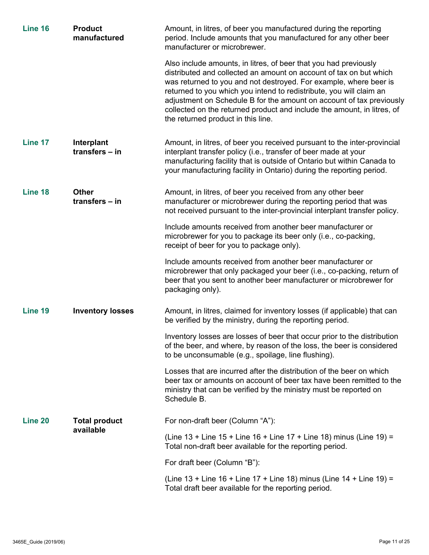| Line 16 | <b>Product</b><br>manufactured   | Amount, in litres, of beer you manufactured during the reporting<br>period. Include amounts that you manufactured for any other beer<br>manufacturer or microbrewer.                                                                                                                                                                                                                                                                                                        |
|---------|----------------------------------|-----------------------------------------------------------------------------------------------------------------------------------------------------------------------------------------------------------------------------------------------------------------------------------------------------------------------------------------------------------------------------------------------------------------------------------------------------------------------------|
|         |                                  | Also include amounts, in litres, of beer that you had previously<br>distributed and collected an amount on account of tax on but which<br>was returned to you and not destroyed. For example, where beer is<br>returned to you which you intend to redistribute, you will claim an<br>adjustment on Schedule B for the amount on account of tax previously<br>collected on the returned product and include the amount, in litres, of<br>the returned product in this line. |
| Line 17 | Interplant<br>transfers - in     | Amount, in litres, of beer you received pursuant to the inter-provincial<br>interplant transfer policy (i.e., transfer of beer made at your<br>manufacturing facility that is outside of Ontario but within Canada to<br>your manufacturing facility in Ontario) during the reporting period.                                                                                                                                                                               |
| Line 18 | <b>Other</b><br>transfers $-$ in | Amount, in litres, of beer you received from any other beer<br>manufacturer or microbrewer during the reporting period that was<br>not received pursuant to the inter-provincial interplant transfer policy.                                                                                                                                                                                                                                                                |
|         |                                  | Include amounts received from another beer manufacturer or<br>microbrewer for you to package its beer only (i.e., co-packing,<br>receipt of beer for you to package only).                                                                                                                                                                                                                                                                                                  |
|         |                                  | Include amounts received from another beer manufacturer or<br>microbrewer that only packaged your beer (i.e., co-packing, return of<br>beer that you sent to another beer manufacturer or microbrewer for<br>packaging only).                                                                                                                                                                                                                                               |
| Line 19 | <b>Inventory losses</b>          | Amount, in litres, claimed for inventory losses (if applicable) that can<br>be verified by the ministry, during the reporting period.                                                                                                                                                                                                                                                                                                                                       |
|         |                                  | Inventory losses are losses of beer that occur prior to the distribution<br>of the beer, and where, by reason of the loss, the beer is considered<br>to be unconsumable (e.g., spoilage, line flushing).                                                                                                                                                                                                                                                                    |
|         |                                  | Losses that are incurred after the distribution of the beer on which<br>beer tax or amounts on account of beer tax have been remitted to the<br>ministry that can be verified by the ministry must be reported on<br>Schedule B.                                                                                                                                                                                                                                            |
| Line 20 | <b>Total product</b>             | For non-draft beer (Column "A"):                                                                                                                                                                                                                                                                                                                                                                                                                                            |
|         | available                        | (Line 13 + Line 15 + Line 16 + Line 17 + Line 18) minus (Line 19) =<br>Total non-draft beer available for the reporting period.                                                                                                                                                                                                                                                                                                                                             |
|         |                                  | For draft beer (Column "B"):                                                                                                                                                                                                                                                                                                                                                                                                                                                |
|         |                                  | (Line 13 + Line 16 + Line 17 + Line 18) minus (Line 14 + Line 19) =<br>Total draft beer available for the reporting period.                                                                                                                                                                                                                                                                                                                                                 |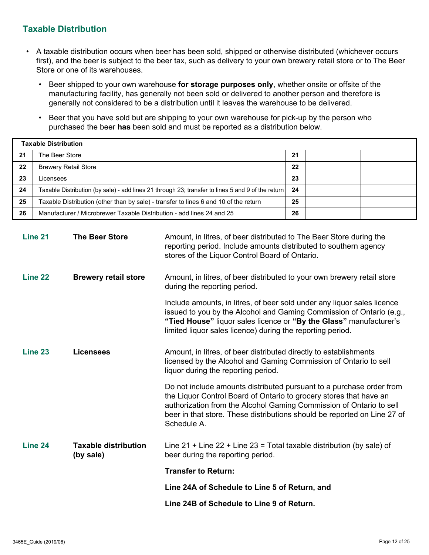#### **Taxable Distribution**

- A taxable distribution occurs when beer has been sold, shipped or otherwise distributed (whichever occurs first), and the beer is subject to the beer tax, such as delivery to your own brewery retail store or to The Beer Store or one of its warehouses.
	- Beer shipped to your own warehouse **for storage purposes only**, whether onsite or offsite of the manufacturing facility, has generally not been sold or delivered to another person and therefore is generally not considered to be a distribution until it leaves the warehouse to be delivered.
	- Beer that you have sold but are shipping to your own warehouse for pick-up by the person who purchased the beer **has** been sold and must be reported as a distribution below.

|    | <b>Taxable Distribution</b>                                                                       |    |  |
|----|---------------------------------------------------------------------------------------------------|----|--|
| 21 | The Beer Store                                                                                    | 21 |  |
| 22 | <b>Brewery Retail Store</b>                                                                       | 22 |  |
| 23 | Licensees                                                                                         | 23 |  |
| 24 | Taxable Distribution (by sale) - add lines 21 through 23; transfer to lines 5 and 9 of the return | 24 |  |
| 25 | Taxable Distribution (other than by sale) - transfer to lines 6 and 10 of the return              | 25 |  |
| 26 | Manufacturer / Microbrewer Taxable Distribution - add lines 24 and 25                             | 26 |  |

| Line 21            | <b>The Beer Store</b>                    | Amount, in litres, of beer distributed to The Beer Store during the<br>reporting period. Include amounts distributed to southern agency<br>stores of the Liquor Control Board of Ontario.                                                                                                                    |
|--------------------|------------------------------------------|--------------------------------------------------------------------------------------------------------------------------------------------------------------------------------------------------------------------------------------------------------------------------------------------------------------|
| Line <sub>22</sub> | <b>Brewery retail store</b>              | Amount, in litres, of beer distributed to your own brewery retail store<br>during the reporting period.                                                                                                                                                                                                      |
|                    |                                          | Include amounts, in litres, of beer sold under any liquor sales licence<br>issued to you by the Alcohol and Gaming Commission of Ontario (e.g.,<br>"Tied House" liquor sales licence or "By the Glass" manufacturer's<br>limited liquor sales licence) during the reporting period.                          |
| Line 23            | <b>Licensees</b>                         | Amount, in litres, of beer distributed directly to establishments<br>licensed by the Alcohol and Gaming Commission of Ontario to sell<br>liquor during the reporting period.                                                                                                                                 |
|                    |                                          | Do not include amounts distributed pursuant to a purchase order from<br>the Liquor Control Board of Ontario to grocery stores that have an<br>authorization from the Alcohol Gaming Commission of Ontario to sell<br>beer in that store. These distributions should be reported on Line 27 of<br>Schedule A. |
| Line 24            | <b>Taxable distribution</b><br>(by sale) | Line $21 +$ Line $22 +$ Line $23 =$ Total taxable distribution (by sale) of<br>beer during the reporting period.                                                                                                                                                                                             |
|                    |                                          | <b>Transfer to Return:</b>                                                                                                                                                                                                                                                                                   |
|                    |                                          | Line 24A of Schedule to Line 5 of Return, and                                                                                                                                                                                                                                                                |
|                    |                                          | Line 24B of Schedule to Line 9 of Return.                                                                                                                                                                                                                                                                    |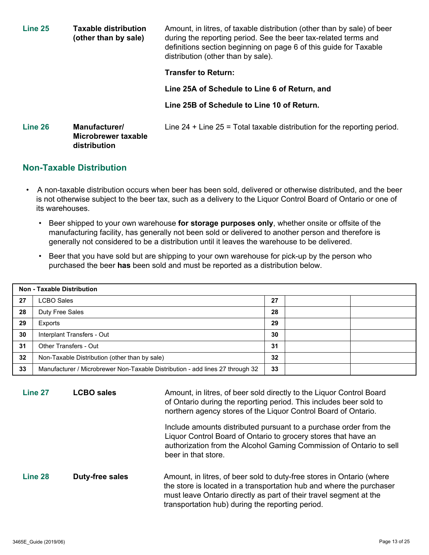| Line 25 | <b>Taxable distribution</b><br>(other than by sale)  | Amount, in litres, of taxable distribution (other than by sale) of beer<br>during the reporting period. See the beer tax-related terms and<br>definitions section beginning on page 6 of this guide for Taxable<br>distribution (other than by sale). |
|---------|------------------------------------------------------|-------------------------------------------------------------------------------------------------------------------------------------------------------------------------------------------------------------------------------------------------------|
|         |                                                      | <b>Transfer to Return:</b>                                                                                                                                                                                                                            |
|         |                                                      | Line 25A of Schedule to Line 6 of Return, and                                                                                                                                                                                                         |
|         |                                                      | Line 25B of Schedule to Line 10 of Return.                                                                                                                                                                                                            |
| Line 26 | Manufacturer/<br>Microbrewer taxable<br>distribution | Line $24 +$ Line $25 =$ Total taxable distribution for the reporting period.                                                                                                                                                                          |

#### **Non-Taxable Distribution**

- A non-taxable distribution occurs when beer has been sold, delivered or otherwise distributed, and the beer is not otherwise subject to the beer tax, such as a delivery to the Liquor Control Board of Ontario or one of its warehouses.
	- Beer shipped to your own warehouse **for storage purposes only**, whether onsite or offsite of the manufacturing facility, has generally not been sold or delivered to another person and therefore is generally not considered to be a distribution until it leaves the warehouse to be delivered.
	- Beer that you have sold but are shipping to your own warehouse for pick-up by the person who purchased the beer **has** been sold and must be reported as a distribution below.

|    | <b>Non - Taxable Distribution</b>                                             |    |  |
|----|-------------------------------------------------------------------------------|----|--|
| 27 | <b>LCBO Sales</b>                                                             | 27 |  |
| 28 | Duty Free Sales                                                               | 28 |  |
| 29 | Exports                                                                       | 29 |  |
| 30 | Interplant Transfers - Out                                                    | 30 |  |
| 31 | Other Transfers - Out                                                         | 31 |  |
| 32 | Non-Taxable Distribution (other than by sale)                                 | 32 |  |
| 33 | Manufacturer / Microbrewer Non-Taxable Distribution - add lines 27 through 32 | 33 |  |

**Line 27 LCBO sales Amount, in litres, of beer sold directly to the Liquor Control Board** of Ontario during the reporting period. This includes beer sold to northern agency stores of the Liquor Control Board of Ontario.

> Include amounts distributed pursuant to a purchase order from the Liquor Control Board of Ontario to grocery stores that have an authorization from the Alcohol Gaming Commission of Ontario to sell beer in that store.

**Line 28 <b>Duty-free sales** Amount, in litres, of beer sold to duty-free stores in Ontario (where the store is located in a transportation hub and where the purchaser must leave Ontario directly as part of their travel segment at the transportation hub) during the reporting period.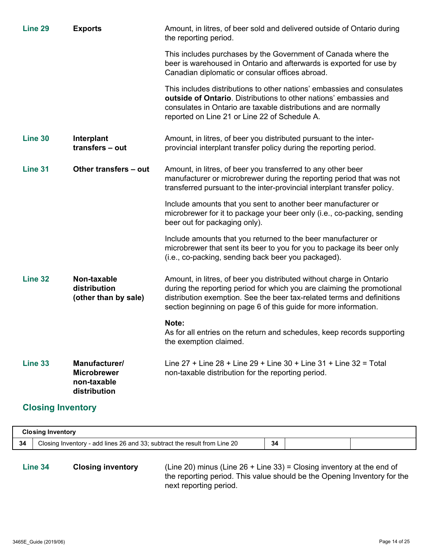| Line 29                                                                               | <b>Exports</b>                                                     | Amount, in litres, of beer sold and delivered outside of Ontario during<br>the reporting period.                                                                                                                                                                                            |  |  |  |  |
|---------------------------------------------------------------------------------------|--------------------------------------------------------------------|---------------------------------------------------------------------------------------------------------------------------------------------------------------------------------------------------------------------------------------------------------------------------------------------|--|--|--|--|
|                                                                                       |                                                                    | This includes purchases by the Government of Canada where the<br>beer is warehoused in Ontario and afterwards is exported for use by<br>Canadian diplomatic or consular offices abroad.                                                                                                     |  |  |  |  |
|                                                                                       |                                                                    | This includes distributions to other nations' embassies and consulates<br>outside of Ontario. Distributions to other nations' embassies and<br>consulates in Ontario are taxable distributions and are normally<br>reported on Line 21 or Line 22 of Schedule A.                            |  |  |  |  |
| Line 30                                                                               | Interplant<br>transfers - out                                      | Amount, in litres, of beer you distributed pursuant to the inter-<br>provincial interplant transfer policy during the reporting period.                                                                                                                                                     |  |  |  |  |
| Line 31                                                                               | Other transfers - out                                              | Amount, in litres, of beer you transferred to any other beer<br>manufacturer or microbrewer during the reporting period that was not<br>transferred pursuant to the inter-provincial interplant transfer policy.                                                                            |  |  |  |  |
|                                                                                       |                                                                    | Include amounts that you sent to another beer manufacturer or<br>microbrewer for it to package your beer only (i.e., co-packing, sending<br>beer out for packaging only).                                                                                                                   |  |  |  |  |
|                                                                                       |                                                                    | Include amounts that you returned to the beer manufacturer or<br>microbrewer that sent its beer to you for you to package its beer only<br>(i.e., co-packing, sending back beer you packaged).                                                                                              |  |  |  |  |
| Line 32                                                                               | Non-taxable<br>distribution<br>(other than by sale)                | Amount, in litres, of beer you distributed without charge in Ontario<br>during the reporting period for which you are claiming the promotional<br>distribution exemption. See the beer tax-related terms and definitions<br>section beginning on page 6 of this guide for more information. |  |  |  |  |
|                                                                                       |                                                                    | Note:<br>As for all entries on the return and schedules, keep records supporting<br>the exemption claimed.                                                                                                                                                                                  |  |  |  |  |
| Line 33                                                                               | Manufacturer/<br><b>Microbrewer</b><br>non-taxable<br>distribution | Line $27 +$ Line $28 +$ Line $29 +$ Line $30 +$ Line $31 +$ Line $32 =$ Total<br>non-taxable distribution for the reporting period.                                                                                                                                                         |  |  |  |  |
| <b>Closing Inventory</b>                                                              |                                                                    |                                                                                                                                                                                                                                                                                             |  |  |  |  |
|                                                                                       | <b>Closing Inventory</b>                                           |                                                                                                                                                                                                                                                                                             |  |  |  |  |
| Closing Inventory - add lines 26 and 33; subtract the result from Line 20<br>34<br>34 |                                                                    |                                                                                                                                                                                                                                                                                             |  |  |  |  |

**Line 34 Closing inventory** (Line 20) minus (Line 26 + Line 33) = Closing inventory at the end of the reporting period. This value should be the Opening Inventory for the next reporting period.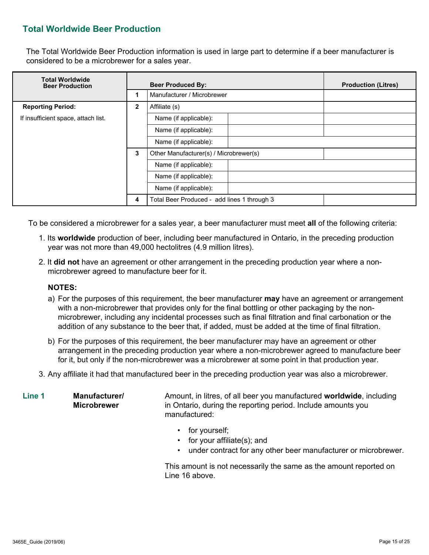### **Total Worldwide Beer Production**

The Total Worldwide Beer Production information is used in large part to determine if a beer manufacturer is considered to be a microbrewer for a sales year.

| <b>Total Worldwide</b><br><b>Beer Production</b> |                       | <b>Beer Produced By:</b>                    | <b>Production (Litres)</b> |
|--------------------------------------------------|-----------------------|---------------------------------------------|----------------------------|
|                                                  |                       | Manufacturer / Microbrewer                  |                            |
| <b>Reporting Period:</b>                         | $\mathbf{2}$          | Affiliate (s)                               |                            |
| If insufficient space, attach list.              |                       | Name (if applicable):                       |                            |
|                                                  |                       | Name (if applicable):                       |                            |
|                                                  |                       | Name (if applicable):                       |                            |
|                                                  | 3                     | Other Manufacturer(s) / Microbrewer(s)      |                            |
|                                                  |                       | Name (if applicable):                       |                            |
|                                                  | Name (if applicable): |                                             |                            |
|                                                  |                       | Name (if applicable):                       |                            |
|                                                  | 4                     | Total Beer Produced - add lines 1 through 3 |                            |

To be considered a microbrewer for a sales year, a beer manufacturer must meet **all** of the following criteria:

- 1. Its **worldwide** production of beer, including beer manufactured in Ontario, in the preceding production year was not more than 49,000 hectolitres (4.9 million litres).
- 2. It **did not** have an agreement or other arrangement in the preceding production year where a nonmicrobrewer agreed to manufacture beer for it.

#### **NOTES:**

- a) For the purposes of this requirement, the beer manufacturer **may** have an agreement or arrangement with a non-microbrewer that provides only for the final bottling or other packaging by the nonmicrobrewer, including any incidental processes such as final filtration and final carbonation or the addition of any substance to the beer that, if added, must be added at the time of final filtration.
- b) For the purposes of this requirement, the beer manufacturer may have an agreement or other arrangement in the preceding production year where a non-microbrewer agreed to manufacture beer for it, but only if the non-microbrewer was a microbrewer at some point in that production year.
- 3. Any affiliate it had that manufactured beer in the preceding production year was also a microbrewer.

**Line 1 Manufacturer/ Microbrewer** Amount, in litres, of all beer you manufactured **worldwide**, including in Ontario, during the reporting period. Include amounts you manufactured:

- for yourself;
- for your affiliate(s); and
- under contract for any other beer manufacturer or microbrewer.

This amount is not necessarily the same as the amount reported on Line 16 above.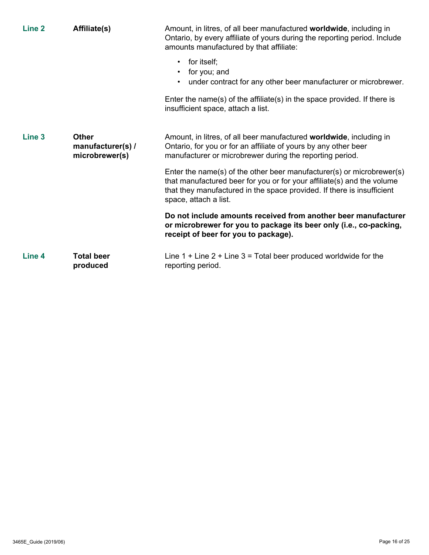| Line <sub>2</sub> | Affiliate(s)                                        | Amount, in litres, of all beer manufactured worldwide, including in<br>Ontario, by every affiliate of yours during the reporting period. Include<br>amounts manufactured by that affiliate:                                                        |
|-------------------|-----------------------------------------------------|----------------------------------------------------------------------------------------------------------------------------------------------------------------------------------------------------------------------------------------------------|
|                   |                                                     | for itself;<br>$\bullet$<br>for you; and<br>$\bullet$<br>under contract for any other beer manufacturer or microbrewer.<br>$\bullet$                                                                                                               |
|                   |                                                     | Enter the name(s) of the affiliate(s) in the space provided. If there is<br>insufficient space, attach a list.                                                                                                                                     |
| Line <sub>3</sub> | <b>Other</b><br>manufacturer(s) /<br>microbrewer(s) | Amount, in litres, of all beer manufactured worldwide, including in<br>Ontario, for you or for an affiliate of yours by any other beer<br>manufacturer or microbrewer during the reporting period.                                                 |
|                   |                                                     | Enter the name(s) of the other beer manufacturer(s) or microbrewer(s)<br>that manufactured beer for you or for your affiliate(s) and the volume<br>that they manufactured in the space provided. If there is insufficient<br>space, attach a list. |
|                   |                                                     | Do not include amounts received from another beer manufacturer<br>or microbrewer for you to package its beer only (i.e., co-packing,<br>receipt of beer for you to package).                                                                       |
| Line 4            | <b>Total beer</b><br>produced                       | Line $1 +$ Line $2 +$ Line $3 =$ Total beer produced worldwide for the<br>reporting period.                                                                                                                                                        |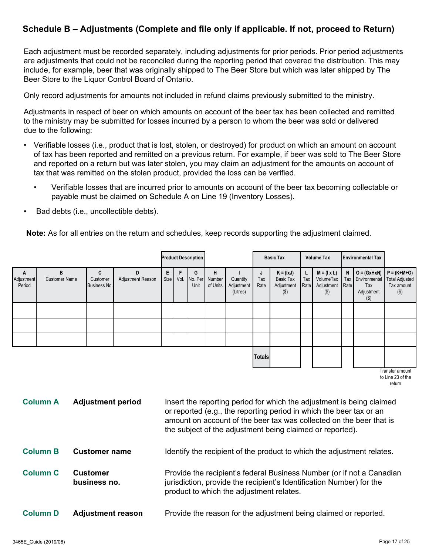# **Schedule B – Adjustments (Complete and file only if applicable. If not, proceed to Return)**

Each adjustment must be recorded separately, including adjustments for prior periods. Prior period adjustments are adjustments that could not be reconciled during the reporting period that covered the distribution. This may include, for example, beer that was originally shipped to The Beer Store but which was later shipped by The Beer Store to the Liquor Control Board of Ontario.

Only record adjustments for amounts not included in refund claims previously submitted to the ministry.

Adjustments in respect of beer on which amounts on account of the beer tax has been collected and remitted to the ministry may be submitted for losses incurred by a person to whom the beer was sold or delivered due to the following:

- Verifiable losses (i.e., product that is lost, stolen, or destroyed) for product on which an amount on account of tax has been reported and remitted on a previous return. For example, if beer was sold to The Beer Store and reported on a return but was later stolen, you may claim an adjustment for the amounts on account of tax that was remitted on the stolen product, provided the loss can be verified.
	- Verifiable losses that are incurred prior to amounts on account of the beer tax becoming collectable or payable must be claimed on Schedule A on Line 19 (Inventory Losses).
- Bad debts (i.e., uncollectible debts).

**Note:** As for all entries on the return and schedules, keep records supporting the adjustment claimed.

|                           |                           |                               |                        |           | <b>Product Description</b> |                                      |                                    |                  | <b>Basic Tax</b>                                  |                  | <b>Volume Tax</b>                                        |           | <b>Environmental Tax</b>                          |                                                                                                                                                                                                                                                                                                                                                                                                                                                                                 |
|---------------------------|---------------------------|-------------------------------|------------------------|-----------|----------------------------|--------------------------------------|------------------------------------|------------------|---------------------------------------------------|------------------|----------------------------------------------------------|-----------|---------------------------------------------------|---------------------------------------------------------------------------------------------------------------------------------------------------------------------------------------------------------------------------------------------------------------------------------------------------------------------------------------------------------------------------------------------------------------------------------------------------------------------------------|
| A<br>Adjustment<br>Period | B<br><b>Customer Name</b> | C<br>Customer<br>Business No. | D<br>Adjustment Reason | E<br>Size | G<br>Unit                  | н<br>Vol. No. Per Number<br>of Units | Quantity<br>Adjustment<br>(Litres) | J<br>Tax<br>Rate | $K = (lxJ)$<br>Basic Tax<br>Adjustment<br>$($ \$) | Г<br>Tax<br>Rate | $M = (I \times L)$<br>VolumeTax<br>Adjustment<br>$($ \$) | N<br>Rate | Tax Environmental<br>Tax<br>Adjustment<br>$($ \$) | $O = (GxHxN)$ $P = (K+M+O)$<br><b>Total Adjusted</b><br>Tax amount<br>$(\$)$                                                                                                                                                                                                                                                                                                                                                                                                    |
|                           |                           |                               |                        |           |                            |                                      |                                    |                  |                                                   |                  |                                                          |           |                                                   |                                                                                                                                                                                                                                                                                                                                                                                                                                                                                 |
|                           |                           |                               |                        |           |                            |                                      |                                    |                  |                                                   |                  |                                                          |           |                                                   |                                                                                                                                                                                                                                                                                                                                                                                                                                                                                 |
|                           |                           |                               |                        |           |                            |                                      |                                    |                  |                                                   |                  |                                                          |           |                                                   |                                                                                                                                                                                                                                                                                                                                                                                                                                                                                 |
|                           |                           |                               |                        |           |                            |                                      |                                    | <b>Totals</b>    |                                                   |                  |                                                          |           |                                                   | $\overline{\phantom{a}}$ $\overline{\phantom{a}}$ $\overline{\phantom{a}}$ $\overline{\phantom{a}}$ $\overline{\phantom{a}}$ $\overline{\phantom{a}}$ $\overline{\phantom{a}}$ $\overline{\phantom{a}}$ $\overline{\phantom{a}}$ $\overline{\phantom{a}}$ $\overline{\phantom{a}}$ $\overline{\phantom{a}}$ $\overline{\phantom{a}}$ $\overline{\phantom{a}}$ $\overline{\phantom{a}}$ $\overline{\phantom{a}}$ $\overline{\phantom{a}}$ $\overline{\phantom{a}}$ $\overline{\$ |

Transfer amount to Line 23 of the return

| <b>Column A</b> | <b>Adjustment period</b>        | Insert the reporting period for which the adjustment is being claimed<br>or reported (e.g., the reporting period in which the beer tax or an<br>amount on account of the beer tax was collected on the beer that is<br>the subject of the adjustment being claimed or reported). |
|-----------------|---------------------------------|----------------------------------------------------------------------------------------------------------------------------------------------------------------------------------------------------------------------------------------------------------------------------------|
| <b>Column B</b> | <b>Customer name</b>            | Identify the recipient of the product to which the adjustment relates.                                                                                                                                                                                                           |
| <b>Column C</b> | <b>Customer</b><br>business no. | Provide the recipient's federal Business Number (or if not a Canadian<br>jurisdiction, provide the recipient's Identification Number) for the<br>product to which the adjustment relates.                                                                                        |
| <b>Column D</b> | <b>Adjustment reason</b>        | Provide the reason for the adjustment being claimed or reported.                                                                                                                                                                                                                 |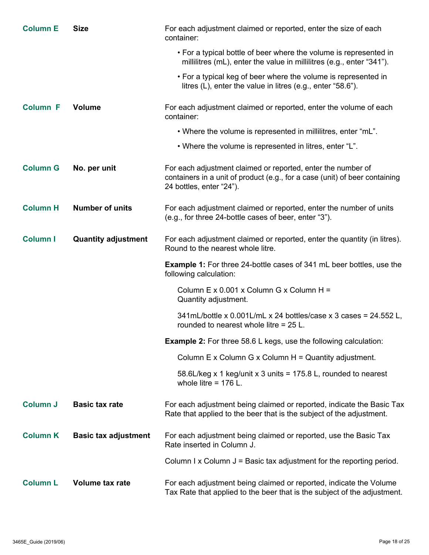| <b>Column E</b> | <b>Size</b>                 | For each adjustment claimed or reported, enter the size of each<br>container:                                                                                           |
|-----------------|-----------------------------|-------------------------------------------------------------------------------------------------------------------------------------------------------------------------|
|                 |                             | • For a typical bottle of beer where the volume is represented in<br>millilitres (mL), enter the value in millilitres (e.g., enter "341").                              |
|                 |                             | • For a typical keg of beer where the volume is represented in<br>litres (L), enter the value in litres (e.g., enter "58.6").                                           |
| <b>Column F</b> | <b>Volume</b>               | For each adjustment claimed or reported, enter the volume of each<br>container:                                                                                         |
|                 |                             | . Where the volume is represented in millilitres, enter "mL".                                                                                                           |
|                 |                             | • Where the volume is represented in litres, enter "L".                                                                                                                 |
| <b>Column G</b> | No. per unit                | For each adjustment claimed or reported, enter the number of<br>containers in a unit of product (e.g., for a case (unit) of beer containing<br>24 bottles, enter "24"). |
| <b>Column H</b> | <b>Number of units</b>      | For each adjustment claimed or reported, enter the number of units<br>(e.g., for three 24-bottle cases of beer, enter "3").                                             |
| <b>Column I</b> | <b>Quantity adjustment</b>  | For each adjustment claimed or reported, enter the quantity (in litres).<br>Round to the nearest whole litre.                                                           |
|                 |                             | <b>Example 1:</b> For three 24-bottle cases of 341 mL beer bottles, use the<br>following calculation:                                                                   |
|                 |                             | Column E x 0.001 x Column G x Column H =<br>Quantity adjustment.                                                                                                        |
|                 |                             | 341mL/bottle x 0.001L/mL x 24 bottles/case x 3 cases = 24.552 L,<br>rounded to nearest whole litre = 25 L.                                                              |
|                 |                             | <b>Example 2:</b> For three 58.6 L kegs, use the following calculation:                                                                                                 |
|                 |                             | Column $E \times$ Column $G \times$ Column $H =$ Quantity adjustment.                                                                                                   |
|                 |                             | 58.6L/keg x 1 keg/unit x 3 units = 175.8 L, rounded to nearest<br>whole litre = $176$ L.                                                                                |
| <b>Column J</b> | <b>Basic tax rate</b>       | For each adjustment being claimed or reported, indicate the Basic Tax<br>Rate that applied to the beer that is the subject of the adjustment.                           |
| <b>Column K</b> | <b>Basic tax adjustment</b> | For each adjustment being claimed or reported, use the Basic Tax<br>Rate inserted in Column J.                                                                          |
|                 |                             | Column I x Column $J =$ Basic tax adjustment for the reporting period.                                                                                                  |
| <b>Column L</b> | Volume tax rate             | For each adjustment being claimed or reported, indicate the Volume<br>Tax Rate that applied to the beer that is the subject of the adjustment.                          |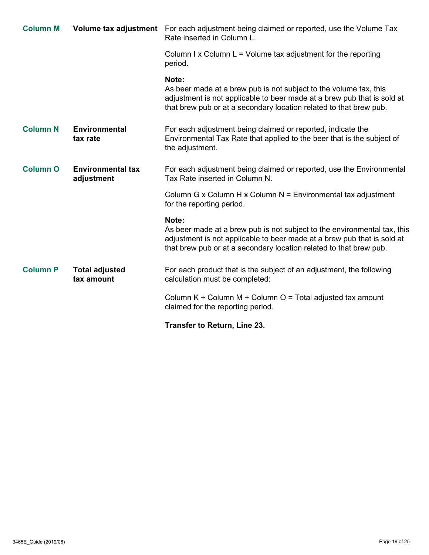| <b>Column M</b> |                                        | Volume tax adjustment For each adjustment being claimed or reported, use the Volume Tax<br>Rate inserted in Column L.                                                                                                              |
|-----------------|----------------------------------------|------------------------------------------------------------------------------------------------------------------------------------------------------------------------------------------------------------------------------------|
|                 |                                        | Column I x Column $L =$ Volume tax adjustment for the reporting<br>period.                                                                                                                                                         |
|                 |                                        | Note:<br>As beer made at a brew pub is not subject to the volume tax, this<br>adjustment is not applicable to beer made at a brew pub that is sold at<br>that brew pub or at a secondary location related to that brew pub.        |
| <b>Column N</b> | <b>Environmental</b><br>tax rate       | For each adjustment being claimed or reported, indicate the<br>Environmental Tax Rate that applied to the beer that is the subject of<br>the adjustment.                                                                           |
| <b>Column O</b> | <b>Environmental tax</b><br>adjustment | For each adjustment being claimed or reported, use the Environmental<br>Tax Rate inserted in Column N.                                                                                                                             |
|                 |                                        | Column G x Column H x Column $N =$ Environmental tax adjustment<br>for the reporting period.                                                                                                                                       |
|                 |                                        | Note:<br>As beer made at a brew pub is not subject to the environmental tax, this<br>adjustment is not applicable to beer made at a brew pub that is sold at<br>that brew pub or at a secondary location related to that brew pub. |
| <b>Column P</b> | <b>Total adjusted</b><br>tax amount    | For each product that is the subject of an adjustment, the following<br>calculation must be completed:                                                                                                                             |
|                 |                                        | Column $K +$ Column M + Column $O =$ Total adjusted tax amount<br>claimed for the reporting period.                                                                                                                                |
|                 |                                        | Transfer to Return, Line 23.                                                                                                                                                                                                       |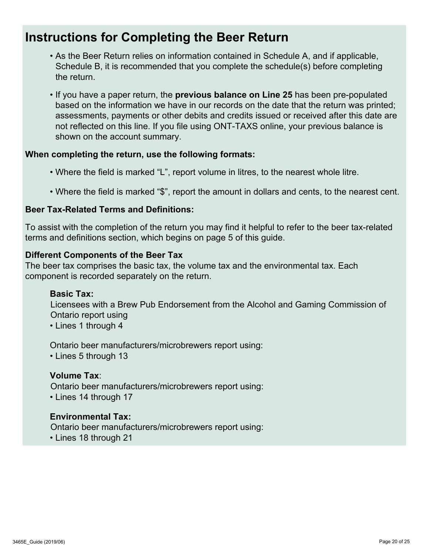# **Instructions for Completing the Beer Return**

- As the Beer Return relies on information contained in Schedule A, and if applicable, Schedule B, it is recommended that you complete the schedule(s) before completing the return.
- If you have a paper return, the **previous balance on Line 25** has been pre-populated based on the information we have in our records on the date that the return was printed; assessments, payments or other debits and credits issued or received after this date are not reflected on this line. If you file using ONT-TAXS online, your previous balance is shown on the account summary.

#### **When completing the return, use the following formats:**

- Where the field is marked "L", report volume in litres, to the nearest whole litre.
- Where the field is marked "\$", report the amount in dollars and cents, to the nearest cent.

#### **Beer Tax-Related Terms and Definitions:**

To assist with the completion of the return you may find it helpful to refer to the beer tax-related terms and definitions section, which begins on page 5 of this guide.

#### **Different Components of the Beer Tax**

The beer tax comprises the basic tax, the volume tax and the environmental tax. Each component is recorded separately on the return.

#### **Basic Tax:**

Licensees with a Brew Pub Endorsement from the Alcohol and Gaming Commission of Ontario report using

• Lines 1 through 4

Ontario beer manufacturers/microbrewers report using:

• Lines 5 through 13

#### **Volume Tax**:

Ontario beer manufacturers/microbrewers report using: • Lines 14 through 17

#### **Environmental Tax:**

Ontario beer manufacturers/microbrewers report using:

• Lines 18 through 21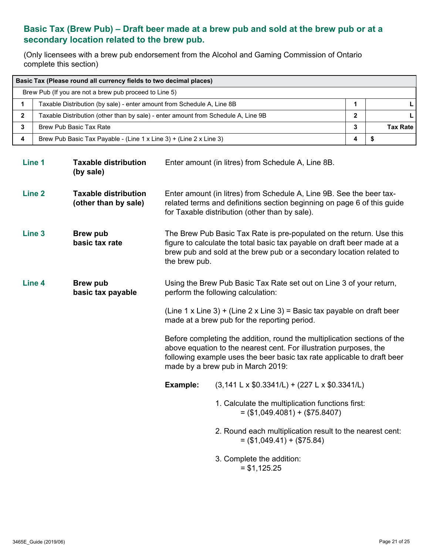# **Basic Tax (Brew Pub) – Draft beer made at a brew pub and sold at the brew pub or at a secondary location related to the brew pub.**

(Only licensees with a brew pub endorsement from the Alcohol and Gaming Commission of Ontario complete this section)

| Basic Tax (Please round all currency fields to two decimal places)                |   |  |  |  |  |  |
|-----------------------------------------------------------------------------------|---|--|--|--|--|--|
| Brew Pub (If you are not a brew pub proceed to Line 5)                            |   |  |  |  |  |  |
| Taxable Distribution (by sale) - enter amount from Schedule A, Line 8B            |   |  |  |  |  |  |
| Taxable Distribution (other than by sale) - enter amount from Schedule A, Line 9B | 2 |  |  |  |  |  |
| Brew Pub Basic Tax Rate<br>3                                                      |   |  |  |  |  |  |
| Brew Pub Basic Tax Payable - (Line 1 x Line 3) + (Line 2 x Line 3)                |   |  |  |  |  |  |

| Line 1            | <b>Taxable distribution</b><br>(by sale)            |               | Enter amount (in litres) from Schedule A, Line 8B.                                                                                                                                                                                                             |
|-------------------|-----------------------------------------------------|---------------|----------------------------------------------------------------------------------------------------------------------------------------------------------------------------------------------------------------------------------------------------------------|
| Line <sub>2</sub> | <b>Taxable distribution</b><br>(other than by sale) |               | Enter amount (in litres) from Schedule A, Line 9B. See the beer tax-<br>related terms and definitions section beginning on page 6 of this guide<br>for Taxable distribution (other than by sale).                                                              |
| Line <sub>3</sub> | <b>Brew pub</b><br>basic tax rate                   | the brew pub. | The Brew Pub Basic Tax Rate is pre-populated on the return. Use this<br>figure to calculate the total basic tax payable on draft beer made at a<br>brew pub and sold at the brew pub or a secondary location related to                                        |
| Line 4            | <b>Brew pub</b><br>basic tax payable                |               | Using the Brew Pub Basic Tax Rate set out on Line 3 of your return,<br>perform the following calculation:                                                                                                                                                      |
|                   |                                                     |               | (Line 1 x Line 3) + (Line 2 x Line 3) = Basic tax payable on draft beer<br>made at a brew pub for the reporting period.                                                                                                                                        |
|                   |                                                     |               | Before completing the addition, round the multiplication sections of the<br>above equation to the nearest cent. For illustration purposes, the<br>following example uses the beer basic tax rate applicable to draft beer<br>made by a brew pub in March 2019: |
|                   |                                                     | Example:      | $(3,141 \text{ L} \times $0.3341 \text{ L}) + (227 \text{ L} \times $0.3341 \text{ L})$                                                                                                                                                                        |
|                   |                                                     |               | 1. Calculate the multiplication functions first:<br>$=$ (\$1,049.4081) + (\$75.8407)                                                                                                                                                                           |
|                   |                                                     |               | 2. Round each multiplication result to the nearest cent:<br>$=$ (\$1,049.41) + (\$75.84)                                                                                                                                                                       |
|                   |                                                     |               | 3. Complete the addition:<br>$= $1,125.25$                                                                                                                                                                                                                     |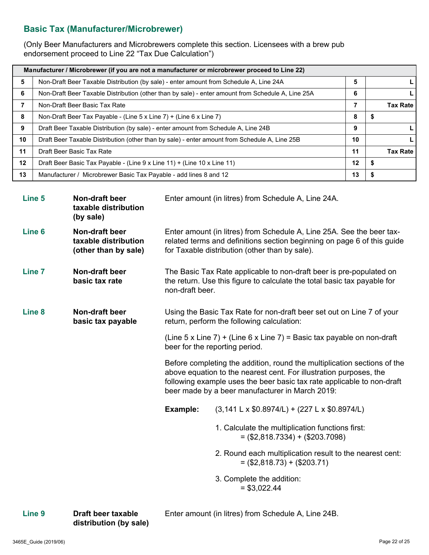### **Basic Tax (Manufacturer/Microbrewer)**

(Only Beer Manufacturers and Microbrewers complete this section. Licensees with a brew pub endorsement proceed to Line 22 "Tax Due Calculation")

| Manufacturer / Microbrewer (if you are not a manufacturer or microbrewer proceed to Line 22) |                                                                                                   |    |     |                 |  |
|----------------------------------------------------------------------------------------------|---------------------------------------------------------------------------------------------------|----|-----|-----------------|--|
| 5                                                                                            | Non-Draft Beer Taxable Distribution (by sale) - enter amount from Schedule A, Line 24A            | 5  |     |                 |  |
| 6                                                                                            | Non-Draft Beer Taxable Distribution (other than by sale) - enter amount from Schedule A, Line 25A | 6  |     |                 |  |
|                                                                                              | Non-Draft Beer Basic Tax Rate                                                                     | 7  |     | <b>Tax Rate</b> |  |
| 8                                                                                            | Non-Draft Beer Tax Payable - (Line 5 x Line 7) + (Line 6 x Line 7)                                | 8  | -S  |                 |  |
| 9                                                                                            | Draft Beer Taxable Distribution (by sale) - enter amount from Schedule A, Line 24B                | 9  |     |                 |  |
| 10                                                                                           | Draft Beer Taxable Distribution (other than by sale) - enter amount from Schedule A, Line 25B     | 10 |     |                 |  |
| 11                                                                                           | Draft Beer Basic Tax Rate                                                                         |    |     |                 |  |
| $12 \,$                                                                                      | Draft Beer Basic Tax Payable - (Line 9 x Line 11) + (Line 10 x Line 11)                           | 12 | - 5 |                 |  |
| 13                                                                                           | Manufacturer / Microbrewer Basic Tax Payable - add lines 8 and 12                                 | 13 |     |                 |  |

| Line <sub>5</sub> | Non-draft beer<br>taxable distribution<br>(by sale)            |                 | Enter amount (in litres) from Schedule A, Line 24A.                                                                                                                                                                                                                         |
|-------------------|----------------------------------------------------------------|-----------------|-----------------------------------------------------------------------------------------------------------------------------------------------------------------------------------------------------------------------------------------------------------------------------|
| Line <sub>6</sub> | Non-draft beer<br>taxable distribution<br>(other than by sale) |                 | Enter amount (in litres) from Schedule A, Line 25A. See the beer tax-<br>related terms and definitions section beginning on page 6 of this guide<br>for Taxable distribution (other than by sale).                                                                          |
| <b>Line 7</b>     | Non-draft beer<br>basic tax rate                               | non-draft beer. | The Basic Tax Rate applicable to non-draft beer is pre-populated on<br>the return. Use this figure to calculate the total basic tax payable for                                                                                                                             |
| Line <sub>8</sub> | Non-draft beer<br>basic tax payable                            |                 | Using the Basic Tax Rate for non-draft beer set out on Line 7 of your<br>return, perform the following calculation:                                                                                                                                                         |
|                   |                                                                |                 | (Line 5 x Line 7) + (Line 6 x Line 7) = Basic tax payable on non-draft<br>beer for the reporting period.                                                                                                                                                                    |
|                   |                                                                |                 | Before completing the addition, round the multiplication sections of the<br>above equation to the nearest cent. For illustration purposes, the<br>following example uses the beer basic tax rate applicable to non-draft<br>beer made by a beer manufacturer in March 2019: |
|                   |                                                                | Example:        | $(3,141 \text{ L} \times $0.8974 \text{/L}) + (227 \text{ L} \times $0.8974 \text{/L})$                                                                                                                                                                                     |
|                   |                                                                |                 | 1. Calculate the multiplication functions first:<br>$=$ (\$2,818.7334) + (\$203.7098)                                                                                                                                                                                       |
|                   |                                                                |                 | 2. Round each multiplication result to the nearest cent:<br>$=$ (\$2,818.73) + (\$203.71)                                                                                                                                                                                   |
|                   |                                                                |                 | 3. Complete the addition:<br>$= $3,022.44$                                                                                                                                                                                                                                  |

**Line 9 Draft beer taxable distribution (by sale)** Enter amount (in litres) from Schedule A, Line 24B.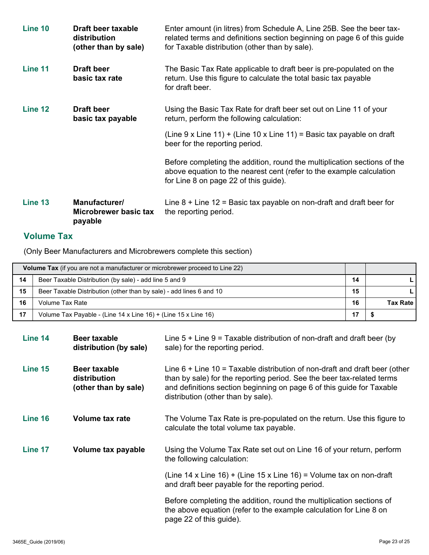| Line 10 | Draft beer taxable<br>distribution<br>(other than by sale) | Enter amount (in litres) from Schedule A, Line 25B. See the beer tax-<br>related terms and definitions section beginning on page 6 of this guide<br>for Taxable distribution (other than by sale). |
|---------|------------------------------------------------------------|----------------------------------------------------------------------------------------------------------------------------------------------------------------------------------------------------|
| Line 11 | <b>Draft beer</b><br>basic tax rate                        | The Basic Tax Rate applicable to draft beer is pre-populated on the<br>return. Use this figure to calculate the total basic tax payable<br>for draft beer.                                         |
| Line 12 | <b>Draft beer</b><br>basic tax payable                     | Using the Basic Tax Rate for draft beer set out on Line 11 of your<br>return, perform the following calculation:                                                                                   |
|         |                                                            | (Line $9 \times$ Line $11$ ) + (Line $10 \times$ Line $11$ ) = Basic tax payable on draft<br>beer for the reporting period.                                                                        |
|         |                                                            | Before completing the addition, round the multiplication sections of the<br>above equation to the nearest cent (refer to the example calculation<br>for Line 8 on page 22 of this guide).          |
| Line 13 | Manufacturer/<br>Microbrewer basic tax<br>payable          | Line $8 +$ Line $12 =$ Basic tax payable on non-draft and draft beer for<br>the reporting period.                                                                                                  |

# **Volume Tax**

(Only Beer Manufacturers and Microbrewers complete this section)

| <b>Volume Tax</b> (if you are not a manufacturer or microbrewer proceed to Line 22) |                                                                     |    |                 |  |
|-------------------------------------------------------------------------------------|---------------------------------------------------------------------|----|-----------------|--|
| 14                                                                                  | Beer Taxable Distribution (by sale) - add line 5 and 9              |    |                 |  |
| 15                                                                                  | Beer Taxable Distribution (other than by sale) - add lines 6 and 10 | 15 |                 |  |
| 16                                                                                  | Volume Tax Rate                                                     | 16 | <b>Tax Rate</b> |  |
| 17                                                                                  | Volume Tax Payable - (Line 14 x Line 16) + (Line 15 x Line 16)      |    |                 |  |

| Line 14 | Beer taxable<br>distribution (by sale)                      | Line $5 +$ Line $9 =$ Taxable distribution of non-draft and draft beer (by<br>sale) for the reporting period.                                                                                                                                                         |
|---------|-------------------------------------------------------------|-----------------------------------------------------------------------------------------------------------------------------------------------------------------------------------------------------------------------------------------------------------------------|
| Line 15 | <b>Beer taxable</b><br>distribution<br>(other than by sale) | Line $6 +$ Line 10 = Taxable distribution of non-draft and draft beer (other<br>than by sale) for the reporting period. See the beer tax-related terms<br>and definitions section beginning on page 6 of this guide for Taxable<br>distribution (other than by sale). |
| Line 16 | Volume tax rate                                             | The Volume Tax Rate is pre-populated on the return. Use this figure to<br>calculate the total volume tax payable.                                                                                                                                                     |
| Line 17 | Volume tax payable                                          | Using the Volume Tax Rate set out on Line 16 of your return, perform<br>the following calculation:                                                                                                                                                                    |
|         |                                                             | (Line 14 x Line 16) + (Line 15 x Line 16) = Volume tax on non-draft<br>and draft beer payable for the reporting period.                                                                                                                                               |
|         |                                                             | Before completing the addition, round the multiplication sections of<br>the above equation (refer to the example calculation for Line 8 on<br>page 22 of this guide).                                                                                                 |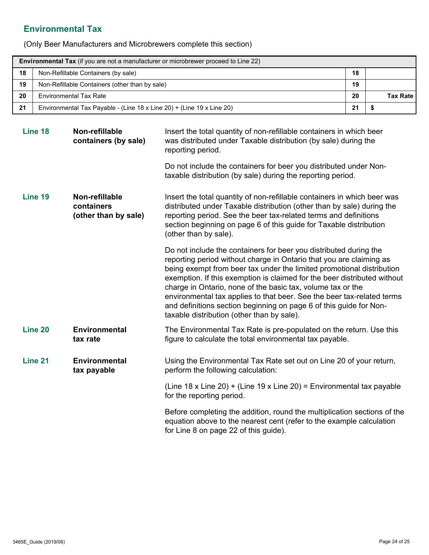# **Environmental Tax**

(Only Beer Manufacturers and Microbrewers complete this section)

| <b>Environmental Tax</b> (if you are not a manufacturer or microbrewer proceed to Line 22) |                                                                       |    |                 |  |  |  |
|--------------------------------------------------------------------------------------------|-----------------------------------------------------------------------|----|-----------------|--|--|--|
| 18                                                                                         | Non-Refillable Containers (by sale)                                   |    |                 |  |  |  |
| 19                                                                                         | Non-Refillable Containers (other than by sale)                        | 19 |                 |  |  |  |
| 20                                                                                         | <b>Environmental Tax Rate</b>                                         | 20 | <b>Tax Rate</b> |  |  |  |
| 21                                                                                         | Environmental Tax Payable - (Line 18 x Line 20) + (Line 19 x Line 20) | 21 |                 |  |  |  |

| Line 18 | Non-refillable<br>containers (by sale)               | Insert the total quantity of non-refillable containers in which beer<br>was distributed under Taxable distribution (by sale) during the<br>reporting period.                                                                                                                                                                                                                                                                                                                                                                                               |
|---------|------------------------------------------------------|------------------------------------------------------------------------------------------------------------------------------------------------------------------------------------------------------------------------------------------------------------------------------------------------------------------------------------------------------------------------------------------------------------------------------------------------------------------------------------------------------------------------------------------------------------|
|         |                                                      | Do not include the containers for beer you distributed under Non-<br>taxable distribution (by sale) during the reporting period.                                                                                                                                                                                                                                                                                                                                                                                                                           |
| Line 19 | Non-refillable<br>containers<br>(other than by sale) | Insert the total quantity of non-refillable containers in which beer was<br>distributed under Taxable distribution (other than by sale) during the<br>reporting period. See the beer tax-related terms and definitions<br>section beginning on page 6 of this guide for Taxable distribution<br>(other than by sale).                                                                                                                                                                                                                                      |
|         |                                                      | Do not include the containers for beer you distributed during the<br>reporting period without charge in Ontario that you are claiming as<br>being exempt from beer tax under the limited promotional distribution<br>exemption. If this exemption is claimed for the beer distributed without<br>charge in Ontario, none of the basic tax, volume tax or the<br>environmental tax applies to that beer. See the beer tax-related terms<br>and definitions section beginning on page 6 of this guide for Non-<br>taxable distribution (other than by sale). |
| Line 20 | <b>Environmental</b><br>tax rate                     | The Environmental Tax Rate is pre-populated on the return. Use this<br>figure to calculate the total environmental tax payable.                                                                                                                                                                                                                                                                                                                                                                                                                            |
| Line 21 | <b>Environmental</b><br>tax payable                  | Using the Environmental Tax Rate set out on Line 20 of your return,<br>perform the following calculation:                                                                                                                                                                                                                                                                                                                                                                                                                                                  |
|         |                                                      | (Line 18 x Line 20) + (Line 19 x Line 20) = Environmental tax payable<br>for the reporting period.                                                                                                                                                                                                                                                                                                                                                                                                                                                         |
|         |                                                      | Before completing the addition, round the multiplication sections of the<br>equation above to the nearest cent (refer to the example calculation<br>for Line 8 on page 22 of this guide).                                                                                                                                                                                                                                                                                                                                                                  |